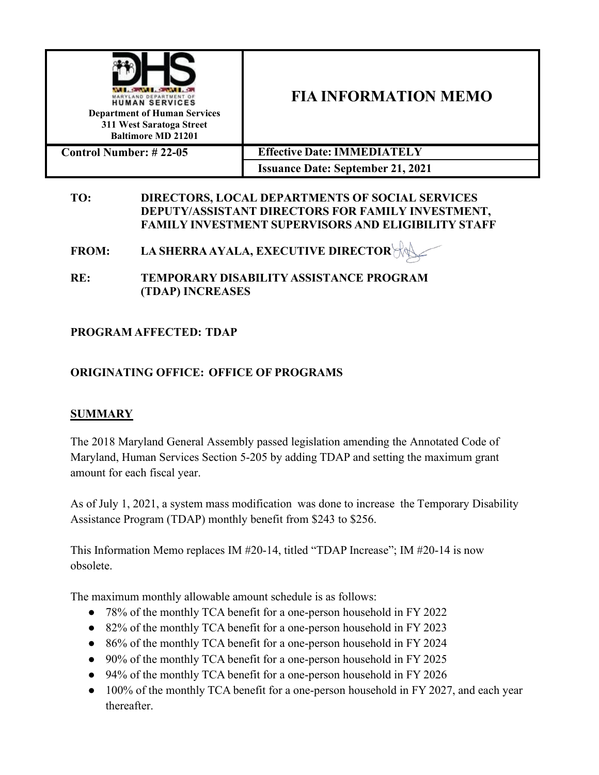

# **FIA INFORMATION MEMO**

| <b>Control Number: # 22-05</b> | <b>Effective Date: IMMEDIATELY</b>       |
|--------------------------------|------------------------------------------|
|                                | <b>Issuance Date: September 21, 2021</b> |

#### **TO: DIRECTORS, LOCAL DEPARTMENTS OF SOCIAL SERVICES DEPUTY/ASSISTANT DIRECTORS FOR FAMILY INVESTMENT, FAMILY INVESTMENT SUPERVISORS AND ELIGIBILITY STAFF**

**FROM: LA SHERRAAYALA, EXECUTIVE DIRECTOR**

**RE: TEMPORARY DISABILITY ASSISTANCE PROGRAM (TDAP) INCREASES**

### **PROGRAM AFFECTED: TDAP**

# **ORIGINATING OFFICE: OFFICE OF PROGRAMS**

### **SUMMARY**

The 2018 Maryland General Assembly passed legislation amending the Annotated Code of Maryland, Human Services Section 5-205 by adding TDAP and setting the maximum grant amount for each fiscal year.

As of July 1, 2021, a system mass modification was done to increase the Temporary Disability Assistance Program (TDAP) monthly benefit from \$243 to \$256.

This Information Memo replaces IM #20-14, titled "TDAP Increase"; IM #20-14 is now obsolete.

The maximum monthly allowable amount schedule is as follows:

- 78% of the monthly TCA benefit for a one-person household in FY 2022
- 82% of the monthly TCA benefit for a one-person household in FY 2023
- 86% of the monthly TCA benefit for a one-person household in FY 2024
- 90% of the monthly TCA benefit for a one-person household in FY 2025
- 94% of the monthly TCA benefit for a one-person household in FY 2026
- 100% of the monthly TCA benefit for a one-person household in FY 2027, and each year thereafter.